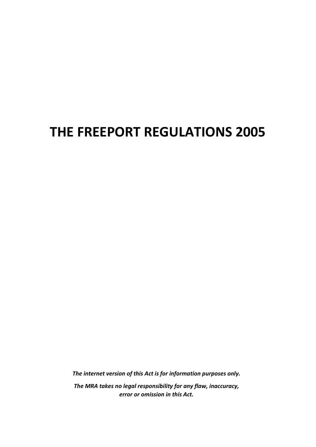# **THE FREEPORT REGULATIONS 2005**

*The internet version of this Act is for information purposes only. The MRA takes no legal responsibility for any flaw, inaccuracy, error or omission in this Act.*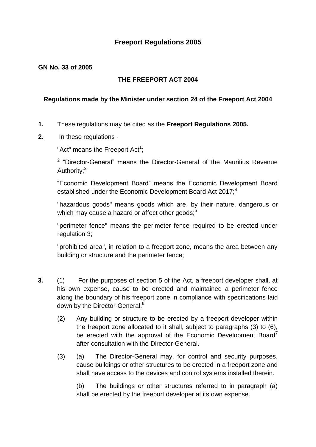# **Freeport Regulations 2005**

#### **GN No. 33 of 2005**

### **THE FREEPORT ACT 2004**

#### **Regulations made by the Minister under section 24 of the Freeport Act 2004**

- **1.** These regulations may be cited as the **Freeport Regulations 2005.**
- **2.** In these regulations -

"Act" means the Freeport Act<sup>1</sup>;

<sup>2</sup> "Director-General" means the Director-General of the Mauritius Revenue Authority:<sup>3</sup>

"Economic Development Board" means the Economic Development Board established under the Economic Development Board Act 2017;<sup>4</sup>

"hazardous goods" means goods which are, by their nature, dangerous or which may cause a hazard or affect other goods:<sup>5</sup>

"perimeter fence" means the perimeter fence required to be erected under regulation 3;

"prohibited area", in relation to a freeport zone, means the area between any building or structure and the perimeter fence;

- **3.** (1) For the purposes of section 5 of the Act, a freeport developer shall, at his own expense, cause to be erected and maintained a perimeter fence along the boundary of his freeport zone in compliance with specifications laid down by the Director-General.<sup>6</sup>
	- (2) Any building or structure to be erected by a freeport developer within the freeport zone allocated to it shall, subject to paragraphs (3) to (6), be erected with the approval of the Economic Development Board<sup>7</sup> after consultation with the Director-General.
	- (3) (a) The Director-General may, for control and security purposes, cause buildings or other structures to be erected in a freeport zone and shall have access to the devices and control systems installed therein.

(b) The buildings or other structures referred to in paragraph (a) shall be erected by the freeport developer at its own expense.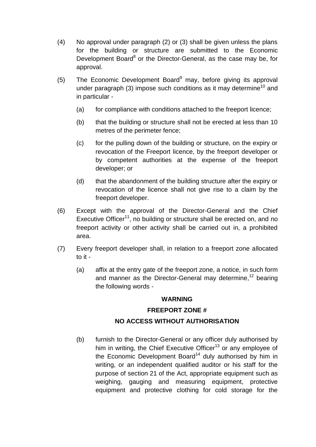- (4) No approval under paragraph (2) or (3) shall be given unless the plans for the building or structure are submitted to the Economic Development Board<sup>8</sup> or the Director-General, as the case may be, for approval.
- (5) The Economic Development Board<sup>9</sup> may, before giving its approval under paragraph (3) impose such conditions as it may determine<sup>10</sup> and in particular -
	- (a) for compliance with conditions attached to the freeport licence;
	- (b) that the building or structure shall not be erected at less than 10 metres of the perimeter fence;
	- (c) for the pulling down of the building or structure, on the expiry or revocation of the Freeport licence, by the freeport developer or by competent authorities at the expense of the freeport developer; or
	- (d) that the abandonment of the building structure after the expiry or revocation of the licence shall not give rise to a claim by the freeport developer.
- (6) Except with the approval of the Director-General and the Chief Executive Officer<sup>11</sup>, no building or structure shall be erected on, and no freeport activity or other activity shall be carried out in, a prohibited area.
- (7) Every freeport developer shall, in relation to a freeport zone allocated to it -
	- (a) affix at the entry gate of the freeport zone, a notice, in such form and manner as the Director-General may determine, $12$  bearing the following words -

#### **WARNING**

## **FREEPORT ZONE #**

# **NO ACCESS WITHOUT AUTHORISATION**

(b) furnish to the Director-General or any officer duly authorised by him in writing, the Chief Executive Officer<sup>13</sup> or any employee of the Economic Development Board<sup>14</sup> duly authorised by him in writing, or an independent qualified auditor or his staff for the purpose of section 21 of the Act, appropriate equipment such as weighing, gauging and measuring equipment, protective equipment and protective clothing for cold storage for the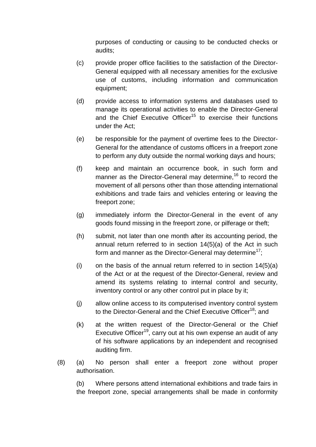purposes of conducting or causing to be conducted checks or audits;

- (c) provide proper office facilities to the satisfaction of the Director-General equipped with all necessary amenities for the exclusive use of customs, including information and communication equipment;
- (d) provide access to information systems and databases used to manage its operational activities to enable the Director-General and the Chief Executive Officer<sup>15</sup> to exercise their functions under the Act;
- (e) be responsible for the payment of overtime fees to the Director-General for the attendance of customs officers in a freeport zone to perform any duty outside the normal working days and hours;
- (f) keep and maintain an occurrence book, in such form and manner as the Director-General may determine,<sup>16</sup> to record the movement of all persons other than those attending international exhibitions and trade fairs and vehicles entering or leaving the freeport zone;
- (g) immediately inform the Director-General in the event of any goods found missing in the freeport zone, or pilferage or theft;
- (h) submit, not later than one month after its accounting period, the annual return referred to in section 14(5)(a) of the Act in such form and manner as the Director-General may determine<sup>17</sup>:
- (i) on the basis of the annual return referred to in section  $14(5)(a)$ of the Act or at the request of the Director-General, review and amend its systems relating to internal control and security, inventory control or any other control put in place by it;
- (j) allow online access to its computerised inventory control system to the Director-General and the Chief Executive Officer<sup>18</sup>; and
- (k) at the written request of the Director-General or the Chief Executive Officer<sup>19</sup>, carry out at his own expense an audit of any of his software applications by an independent and recognised auditing firm.
- (8) (a) No person shall enter a freeport zone without proper authorisation.

(b) Where persons attend international exhibitions and trade fairs in the freeport zone, special arrangements shall be made in conformity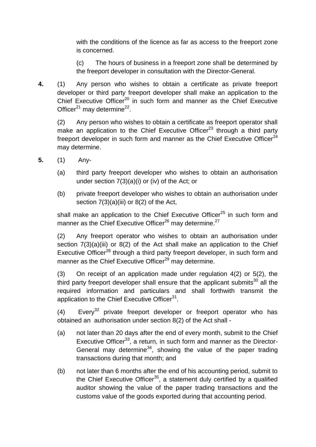with the conditions of the licence as far as access to the freeport zone is concerned.

(c) The hours of business in a freeport zone shall be determined by the freeport developer in consultation with the Director-General.

**4.** (1) Any person who wishes to obtain a certificate as private freeport developer or third party freeport developer shall make an application to the Chief Executive Officer<sup>20</sup> in such form and manner as the Chief Executive Officer $^{21}$  may determine<sup>22</sup>.

(2) Any person who wishes to obtain a certificate as freeport operator shall make an application to the Chief Executive Officer<sup>23</sup> through a third party freeport developer in such form and manner as the Chief Executive Officer<sup>24</sup> may determine.

- **5.** (1) Any-
	- (a) third party freeport developer who wishes to obtain an authorisation under section  $7(3)(a)(i)$  or (iv) of the Act; or
	- (b) private freeport developer who wishes to obtain an authorisation under section  $7(3)(a)(iii)$  or  $8(2)$  of the Act,

shall make an application to the Chief Executive Officer $^{25}$  in such form and manner as the Chief Executive Officer<sup>26</sup> may determine.<sup>27</sup>

(2) Any freeport operator who wishes to obtain an authorisation under section 7(3)(a)(iii) or 8(2) of the Act shall make an application to the Chief Executive Officer<sup>28</sup> through a third party freeport developer, in such form and manner as the Chief Executive Officer<sup>29</sup> may determine.

(3) On receipt of an application made under regulation 4(2) or 5(2), the third party freeport developer shall ensure that the applicant submits<sup>30</sup> all the required information and particulars and shall forthwith transmit the application to the Chief Executive Officer<sup>31</sup>.

 $(4)$  Every<sup>32</sup> private freeport developer or freeport operator who has obtained an authorisation under section 8(2) of the Act shall -

- (a) not later than 20 days after the end of every month, submit to the Chief Executive Officer<sup>33</sup>, a return, in such form and manner as the Director-General may determine<sup>34</sup>, showing the value of the paper trading transactions during that month; and
- (b) not later than 6 months after the end of his accounting period, submit to the Chief Executive Officer<sup>35</sup>, a statement duly certified by a qualified auditor showing the value of the paper trading transactions and the customs value of the goods exported during that accounting period.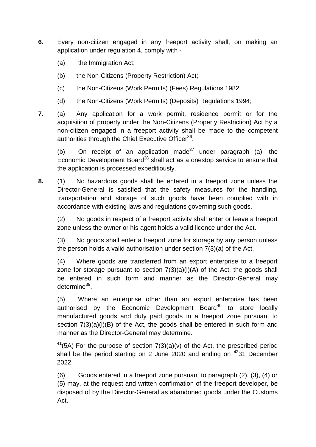- **6.** Every non-citizen engaged in any freeport activity shall, on making an application under regulation 4, comply with -
	- (a) the Immigration Act;
	- (b) the Non-Citizens (Property Restriction) Act;
	- (c) the Non-Citizens (Work Permits) (Fees) Regulations 1982.
	- (d) the Non-Citizens (Work Permits) (Deposits) Regulations 1994;
- **7.** (a) Any application for a work permit, residence permit or for the acquisition of property under the Non-Citizens (Property Restriction) Act by a non-citizen engaged in a freeport activity shall be made to the competent authorities through the Chief Executive Officer<sup>36</sup>.

(b) On receipt of an application made $37$  under paragraph (a), the Economic Development Board<sup>38</sup> shall act as a onestop service to ensure that the application is processed expeditiously.

**8.** (1) No hazardous goods shall be entered in a freeport zone unless the Director-General is satisfied that the safety measures for the handling, transportation and storage of such goods have been complied with in accordance with existing laws and regulations governing such goods.

(2) No goods in respect of a freeport activity shall enter or leave a freeport zone unless the owner or his agent holds a valid licence under the Act.

(3) No goods shall enter a freeport zone for storage by any person unless the person holds a valid authorisation under section 7(3)(a) of the Act.

(4) Where goods are transferred from an export enterprise to a freeport zone for storage pursuant to section  $7(3)(a)(i)(A)$  of the Act, the goods shall be entered in such form and manner as the Director-General may determine<sup>39</sup>.

(5) Where an enterprise other than an export enterprise has been authorised by the Economic Development Board $40$  to store locally manufactured goods and duty paid goods in a freeport zone pursuant to section  $7(3)(a)(i)(B)$  of the Act, the goods shall be entered in such form and manner as the Director-General may determine.

<sup>41</sup>(5A) For the purpose of section  $7(3)(a)(v)$  of the Act, the prescribed period shall be the period starting on 2 June 2020 and ending on  $4231$  December 2022.

(6) Goods entered in a freeport zone pursuant to paragraph (2), (3), (4) or (5) may, at the request and written confirmation of the freeport developer, be disposed of by the Director-General as abandoned goods under the Customs Act.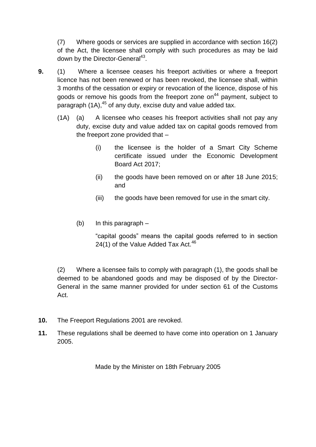(7) Where goods or services are supplied in accordance with section 16(2) of the Act, the licensee shall comply with such procedures as may be laid down by the Director-General<sup>43</sup>.

- **9.** (1) Where a licensee ceases his freeport activities or where a freeport licence has not been renewed or has been revoked, the licensee shall, within 3 months of the cessation or expiry or revocation of the licence, dispose of his goods or remove his goods from the freeport zone on<sup>44</sup> payment, subject to paragraph  $(1A)$ ,<sup>45</sup> of any duty, excise duty and value added tax.
	- (1A) (a) A licensee who ceases his freeport activities shall not pay any duty, excise duty and value added tax on capital goods removed from the freeport zone provided that –
		- (i) the licensee is the holder of a Smart City Scheme certificate issued under the Economic Development Board Act 2017;
		- (ii) the goods have been removed on or after 18 June 2015; and
		- (iii) the goods have been removed for use in the smart city.
		- (b) In this paragraph –

"capital goods" means the capital goods referred to in section 24(1) of the Value Added Tax Act. $46$ 

(2) Where a licensee fails to comply with paragraph (1), the goods shall be deemed to be abandoned goods and may be disposed of by the Director-General in the same manner provided for under section 61 of the Customs Act.

- **10.** The Freeport Regulations 2001 are revoked.
- **11.** These regulations shall be deemed to have come into operation on 1 January 2005.

Made by the Minister on 18th February 2005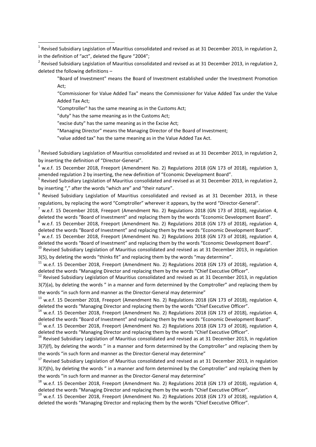<sup>2</sup> Revised Subsidiary Legislation of Mauritius consolidated and revised as at 31 December 2013, in regulation 2, deleted the following definitions –

"Board of Investment" means the Board of Investment established under the Investment Promotion Act;

"Commissioner for Value Added Tax" means the Commissioner for Value Added Tax under the Value Added Tax Act;

"Comptroller" has the same meaning as in the Customs Act;

"duty" has the same meaning as in the Customs Act;

1

"excise duty" has the same meaning as in the Excise Act;

"Managing Director" means the Managing Director of the Board of Investment;

"value added tax" has the same meaning as in the Value Added Tax Act.

 $3$  Revised Subsidiary Legislation of Mauritius consolidated and revised as at 31 December 2013, in regulation 2, by inserting the definition of "Director-General".

<sup>4</sup> w.e.f. 15 December 2018, Freeport (Amendment No. 2) Regulations 2018 (GN 173 of 2018), regulation 3, amended regulation 2 by inserting, the new definition of "Economic Development Board".

<sup>5</sup> Revised Subsidiary Legislation of Mauritius consolidated and revised as at 31 December 2013, in regulation 2, by inserting "," after the words "which are" and "their nature".

<sup>6</sup> Revised Subsidiary Legislation of Mauritius consolidated and revised as at 31 December 2013, in these regulations, by replacing the word "Comptroller" wherever it appears, by the word "Director-General".

 $^7$  w.e.f. 15 December 2018, Freeport (Amendment No. 2) Regulations 2018 (GN 173 of 2018), regulation 4, deleted the words "Board of Investment" and replacing them by the words "Economic Development Board".

<sup>8</sup> w.e.f. 15 December 2018, Freeport (Amendment No. 2) Regulations 2018 (GN 173 of 2018), regulation 4, deleted the words "Board of Investment" and replacing them by the words "Economic Development Board".

<sup>9</sup> w.e.f. 15 December 2018, Freeport (Amendment No. 2) Regulations 2018 (GN 173 of 2018), regulation 4, deleted the words "Board of Investment" and replacing them by the words "Economic Development Board".

 $10$  Revised Subsidiary Legislation of Mauritius consolidated and revised as at 31 December 2013, in regulation 3(5), by deleting the words "thinks fit" and replacing them by the words "may determine".

 $11$  w.e.f. 15 December 2018, Freeport (Amendment No. 2) Regulations 2018 (GN 173 of 2018), regulation 4, deleted the words "Managing Director and replacing them by the words "Chief Executive Officer".

 $12$  Revised Subsidiary Legislation of Mauritius consolidated and revised as at 31 December 2013, in regulation 3(7)(a), by deleting the words " in a manner and form determined by the Comptroller" and replacing them by the words "in such form and manner as the Director-General may determine"

<sup>13</sup> w.e.f. 15 December 2018, Freeport (Amendment No. 2) Regulations 2018 (GN 173 of 2018), regulation 4, deleted the words "Managing Director and replacing them by the words "Chief Executive Officer".

<sup>14</sup> w.e.f. 15 December 2018, Freeport (Amendment No. 2) Regulations 2018 (GN 173 of 2018), regulation 4, deleted the words "Board of Investment" and replacing them by the words "Economic Development Board".

<sup>15</sup> w.e.f. 15 December 2018, Freeport (Amendment No. 2) Regulations 2018 (GN 173 of 2018), regulation 4, deleted the words "Managing Director and replacing them by the words "Chief Executive Officer".

<sup>16</sup> Revised Subsidiary Legislation of Mauritius consolidated and revised as at 31 December 2013, in regulation 3(7)(f), by deleting the words " in a manner and form determined by the Comptroller" and replacing them by the words "in such form and manner as the Director-General may determine"

<sup>17</sup> Revised Subsidiary Legislation of Mauritius consolidated and revised as at 31 December 2013, in regulation 3(7)(h), by deleting the words " in a manner and form determined by the Comptroller" and replacing them by the words "in such form and manner as the Director-General may determine"

<sup>18</sup> w.e.f. 15 December 2018, Freeport (Amendment No. 2) Regulations 2018 (GN 173 of 2018), regulation 4, deleted the words "Managing Director and replacing them by the words "Chief Executive Officer".

<sup>19</sup> w.e.f. 15 December 2018, Freeport (Amendment No. 2) Regulations 2018 (GN 173 of 2018), regulation 4, deleted the words "Managing Director and replacing them by the words "Chief Executive Officer".

<sup>&</sup>lt;sup>1</sup> Revised Subsidiary Legislation of Mauritius consolidated and revised as at 31 December 2013, in regulation 2, in the definition of "act", deleted the figure "2004";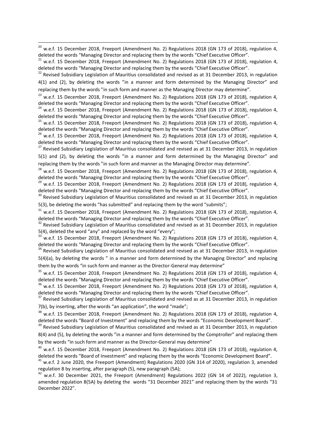<sup>20</sup> w.e.f. 15 December 2018, Freeport (Amendment No. 2) Regulations 2018 (GN 173 of 2018), regulation 4, deleted the words "Managing Director and replacing them by the words "Chief Executive Officer".

1

<sup>21</sup> w.e.f. 15 December 2018, Freeport (Amendment No. 2) Regulations 2018 (GN 173 of 2018), regulation 4, deleted the words "Managing Director and replacing them by the words "Chief Executive Officer".

<sup>22</sup> Revised Subsidiary Legislation of Mauritius consolidated and revised as at 31 December 2013, in regulation 4(1) and (2), by deleting the words "in a manner and form determined by the Managing Director" and replacing them by the words "in such form and manner as the Managing Director may determine".

<sup>23</sup> w.e.f. 15 December 2018, Freeport (Amendment No. 2) Regulations 2018 (GN 173 of 2018), regulation 4, deleted the words "Managing Director and replacing them by the words "Chief Executive Officer".

 $24$  w.e.f. 15 December 2018, Freeport (Amendment No. 2) Regulations 2018 (GN 173 of 2018), regulation 4, deleted the words "Managing Director and replacing them by the words "Chief Executive Officer".

 $^{25}$  w.e.f. 15 December 2018, Freeport (Amendment No. 2) Regulations 2018 (GN 173 of 2018), regulation 4, deleted the words "Managing Director and replacing them by the words "Chief Executive Officer".

<sup>26</sup> w.e.f. 15 December 2018, Freeport (Amendment No. 2) Regulations 2018 (GN 173 of 2018), regulation 4, deleted the words "Managing Director and replacing them by the words "Chief Executive Officer".

<sup>27</sup> Revised Subsidiary Legislation of Mauritius consolidated and revised as at 31 December 2013, in regulation 5(1) and (2), by deleting the words "in a manner and form determined by the Managing Director" and replacing them by the words "in such form and manner as the Managing Director may determine".

 $^{28}$  w.e.f. 15 December 2018, Freeport (Amendment No. 2) Regulations 2018 (GN 173 of 2018), regulation 4, deleted the words "Managing Director and replacing them by the words "Chief Executive Officer".

 $29$  w.e.f. 15 December 2018, Freeport (Amendment No. 2) Regulations 2018 (GN 173 of 2018), regulation 4, deleted the words "Managing Director and replacing them by the words "Chief Executive Officer".

<sup>30</sup> Revised Subsidiary Legislation of Mauritius consolidated and revised as at 31 December 2013, in regulation 5(3), be deleting the words "has submitted" and replacing them by the word "submits";

 $31$  w.e.f. 15 December 2018, Freeport (Amendment No. 2) Regulations 2018 (GN 173 of 2018), regulation 4, deleted the words "Managing Director and replacing them by the words "Chief Executive Officer".

<sup>32</sup> Revised Subsidiary Legislation of Mauritius consolidated and revised as at 31 December 2013, in regulation 5(4), deleted the word "any" and replaced by the word "every";

w.e.f. 15 December 2018, Freeport (Amendment No. 2) Regulations 2018 (GN 173 of 2018), regulation 4, deleted the words "Managing Director and replacing them by the words "Chief Executive Officer".

<sup>34</sup> Revised Subsidiary Legislation of Mauritius consolidated and revised as at 31 December 2013, in regulation 5(4)(a), by deleting the words " in a manner and form determined by the Managing Director" and replacing them by the words "in such form and manner as the Director-General may determine"

<sup>35</sup> w.e.f. 15 December 2018, Freeport (Amendment No. 2) Regulations 2018 (GN 173 of 2018), regulation 4, deleted the words "Managing Director and replacing them by the words "Chief Executive Officer".

<sup>36</sup> w.e.f. 15 December 2018, Freeport (Amendment No. 2) Regulations 2018 (GN 173 of 2018), regulation 4, deleted the words "Managing Director and replacing them by the words "Chief Executive Officer".

<sup>37</sup> Revised Subsidiary Legislation of Mauritius consolidated and revised as at 31 December 2013, in regulation 7(b), by inserting, after the words "an application", the word "made";

<sup>38</sup> w.e.f. 15 December 2018, Freeport (Amendment No. 2) Regulations 2018 (GN 173 of 2018), regulation 4, deleted the words "Board of Investment" and replacing them by the words "Economic Development Board".

<sup>39</sup> Revised Subsidiary Legislation of Mauritius consolidated and revised as at 31 December 2013, in regulation 8(4) and (5), by deleting the words "in a manner and form determined by the Comptroller" and replacing them by the words "in such form and manner as the Director-General may determine"

<sup>40</sup> w.e.f. 15 December 2018, Freeport (Amendment No. 2) Regulations 2018 (GN 173 of 2018), regulation 4, deleted the words "Board of Investment" and replacing them by the words "Economic Development Board".

 $^{41}$  w.e.f. 2 June 2020, the Freeport (Amendment) Regulations 2020 (GN 314 of 2020), regulation 3, amended regulation 8 by inserting, after paragraph (5), new paragraph (5A);

 $^{42}$  w.e.f. 30 December 2021, the Freeport (Amendment) Regulations 2022 (GN 14 of 2022), regulation 3, amended regulation 8(5A) by deleting the words "31 December 2021" and replacing them by the words "31 December 2022".